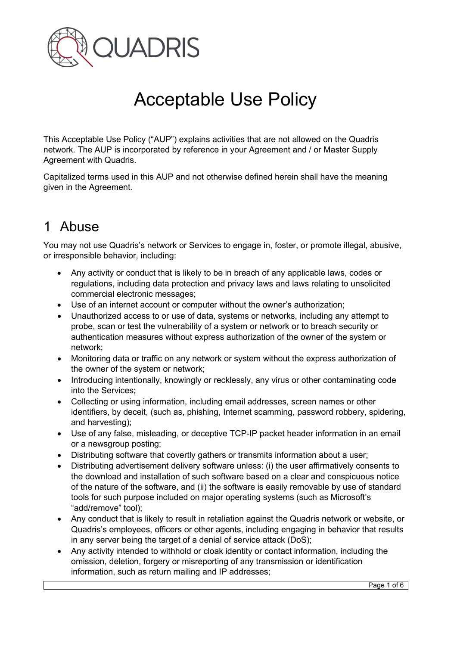

# Acceptable Use Policy

This Acceptable Use Policy ("AUP") explains activities that are not allowed on the Quadris network. The AUP is incorporated by reference in your Agreement and / or Master Supply Agreement with Quadris.

Capitalized terms used in this AUP and not otherwise defined herein shall have the meaning given in the Agreement.

# 1 Abuse

You may not use Quadris's network or Services to engage in, foster, or promote illegal, abusive, or irresponsible behavior, including:

- Any activity or conduct that is likely to be in breach of any applicable laws, codes or regulations, including data protection and privacy laws and laws relating to unsolicited commercial electronic messages;
- Use of an internet account or computer without the owner's authorization;
- Unauthorized access to or use of data, systems or networks, including any attempt to probe, scan or test the vulnerability of a system or network or to breach security or authentication measures without express authorization of the owner of the system or network;
- Monitoring data or traffic on any network or system without the express authorization of the owner of the system or network;
- Introducing intentionally, knowingly or recklessly, any virus or other contaminating code into the Services;
- Collecting or using information, including email addresses, screen names or other identifiers, by deceit, (such as, phishing, Internet scamming, password robbery, spidering, and harvesting);
- Use of any false, misleading, or deceptive TCP-IP packet header information in an email or a newsgroup posting;
- Distributing software that covertly gathers or transmits information about a user;
- Distributing advertisement delivery software unless: (i) the user affirmatively consents to the download and installation of such software based on a clear and conspicuous notice of the nature of the software, and (ii) the software is easily removable by use of standard tools for such purpose included on major operating systems (such as Microsoft's "add/remove" tool);
- Any conduct that is likely to result in retaliation against the Quadris network or website, or Quadris's employees, officers or other agents, including engaging in behavior that results in any server being the target of a denial of service attack (DoS);
- Any activity intended to withhold or cloak identity or contact information, including the omission, deletion, forgery or misreporting of any transmission or identification information, such as return mailing and IP addresses;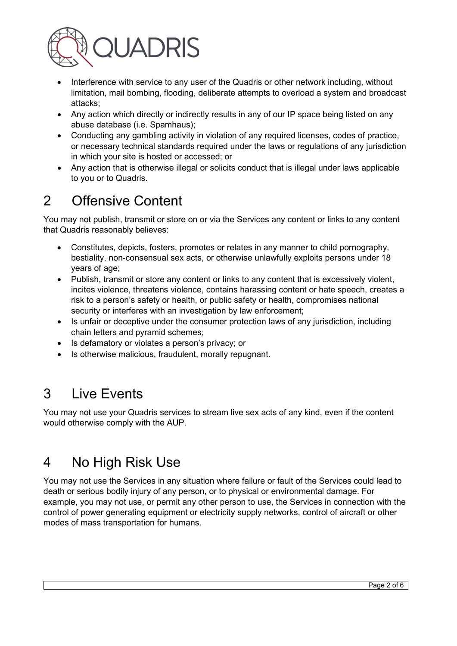

- Interference with service to any user of the Quadris or other network including, without limitation, mail bombing, flooding, deliberate attempts to overload a system and broadcast attacks;
- Any action which directly or indirectly results in any of our IP space being listed on any abuse database (i.e. Spamhaus);
- Conducting any gambling activity in violation of any required licenses, codes of practice, or necessary technical standards required under the laws or regulations of any jurisdiction in which your site is hosted or accessed; or
- Any action that is otherwise illegal or solicits conduct that is illegal under laws applicable to you or to Quadris.

## 2 Offensive Content

You may not publish, transmit or store on or via the Services any content or links to any content that Quadris reasonably believes:

- Constitutes, depicts, fosters, promotes or relates in any manner to child pornography, bestiality, non-consensual sex acts, or otherwise unlawfully exploits persons under 18 years of age;
- Publish, transmit or store any content or links to any content that is excessively violent, incites violence, threatens violence, contains harassing content or hate speech, creates a risk to a person's safety or health, or public safety or health, compromises national security or interferes with an investigation by law enforcement;
- Is unfair or deceptive under the consumer protection laws of any jurisdiction, including chain letters and pyramid schemes;
- Is defamatory or violates a person's privacy; or
- Is otherwise malicious, fraudulent, morally repugnant.

# 3 Live Events

You may not use your Quadris services to stream live sex acts of any kind, even if the content would otherwise comply with the AUP.

## 4 No High Risk Use

You may not use the Services in any situation where failure or fault of the Services could lead to death or serious bodily injury of any person, or to physical or environmental damage. For example, you may not use, or permit any other person to use, the Services in connection with the control of power generating equipment or electricity supply networks, control of aircraft or other modes of mass transportation for humans.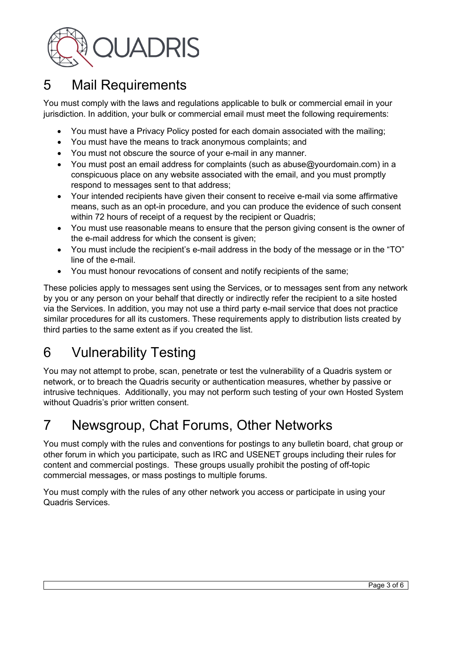

## 5 Mail Requirements

You must comply with the laws and regulations applicable to bulk or commercial email in your jurisdiction. In addition, your bulk or commercial email must meet the following requirements:

- You must have a Privacy Policy posted for each domain associated with the mailing;
- You must have the means to track anonymous complaints; and
- You must not obscure the source of your e-mail in any manner.
- You must post an email address for complaints (such as abuse@yourdomain.com) in a conspicuous place on any website associated with the email, and you must promptly respond to messages sent to that address;
- Your intended recipients have given their consent to receive e-mail via some affirmative means, such as an opt-in procedure, and you can produce the evidence of such consent within 72 hours of receipt of a request by the recipient or Quadris;
- You must use reasonable means to ensure that the person giving consent is the owner of the e-mail address for which the consent is given;
- You must include the recipient's e-mail address in the body of the message or in the "TO" line of the e-mail.
- You must honour revocations of consent and notify recipients of the same;

These policies apply to messages sent using the Services, or to messages sent from any network by you or any person on your behalf that directly or indirectly refer the recipient to a site hosted via the Services. In addition, you may not use a third party e-mail service that does not practice similar procedures for all its customers. These requirements apply to distribution lists created by third parties to the same extent as if you created the list.

# 6 Vulnerability Testing

You may not attempt to probe, scan, penetrate or test the vulnerability of a Quadris system or network, or to breach the Quadris security or authentication measures, whether by passive or intrusive techniques. Additionally, you may not perform such testing of your own Hosted System without Quadris's prior written consent.

## 7 Newsgroup, Chat Forums, Other Networks

You must comply with the rules and conventions for postings to any bulletin board, chat group or other forum in which you participate, such as IRC and USENET groups including their rules for content and commercial postings. These groups usually prohibit the posting of off-topic commercial messages, or mass postings to multiple forums.

You must comply with the rules of any other network you access or participate in using your Quadris Services.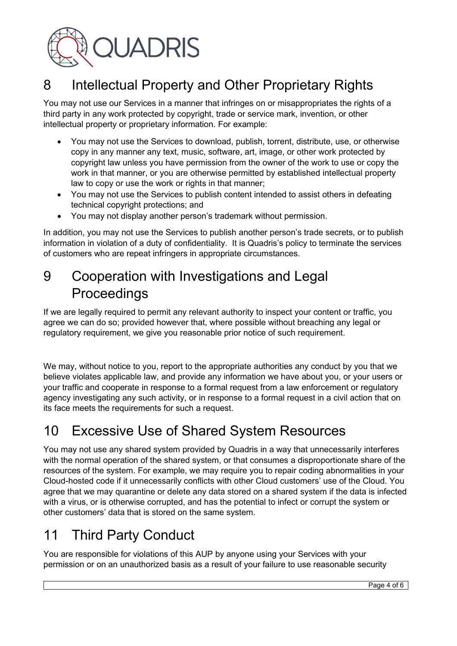

## 8 Intellectual Property and Other Proprietary Rights

You may not use our Services in a manner that infringes on or misappropriates the rights of a third party in any work protected by copyright, trade or service mark, invention, or other intellectual property or proprietary information. For example:

- You may not use the Services to download, publish, torrent, distribute, use, or otherwise copy in any manner any text, music, software, art, image, or other work protected by copyright law unless you have permission from the owner of the work to use or copy the work in that manner, or you are otherwise permitted by established intellectual property law to copy or use the work or rights in that manner;
- You may not use the Services to publish content intended to assist others in defeating technical copyright protections; and
- You may not display another person's trademark without permission.

In addition, you may not use the Services to publish another person's trade secrets, or to publish information in violation of a duty of confidentiality. It is Quadris's policy to terminate the services of customers who are repeat infringers in appropriate circumstances.

## 9 Cooperation with Investigations and Legal Proceedings

If we are legally required to permit any relevant authority to inspect your content or traffic, you agree we can do so; provided however that, where possible without breaching any legal or regulatory requirement, we give you reasonable prior notice of such requirement.

We may, without notice to you, report to the appropriate authorities any conduct by you that we believe violates applicable law, and provide any information we have about you, or your users or your traffic and cooperate in response to a formal request from a law enforcement or regulatory agency investigating any such activity, or in response to a formal request in a civil action that on its face meets the requirements for such a request.

## 10 Excessive Use of Shared System Resources

You may not use any shared system provided by Quadris in a way that unnecessarily interferes with the normal operation of the shared system, or that consumes a disproportionate share of the resources of the system. For example, we may require you to repair coding abnormalities in your Cloud-hosted code if it unnecessarily conflicts with other Cloud customers' use of the Cloud. You agree that we may quarantine or delete any data stored on a shared system if the data is infected with a virus, or is otherwise corrupted, and has the potential to infect or corrupt the system or other customers' data that is stored on the same system.

# 11 Third Party Conduct

You are responsible for violations of this AUP by anyone using your Services with your permission or on an unauthorized basis as a result of your failure to use reasonable security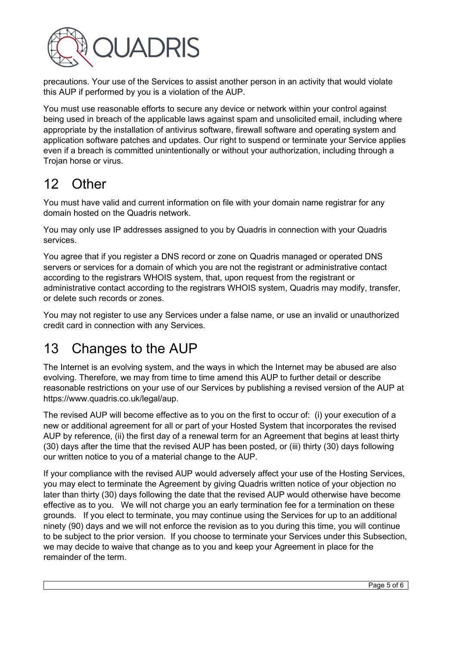

precautions. Your use of the Services to assist another person in an activity that would violate this AUP if performed by you is a violation of the AUP.

You must use reasonable efforts to secure any device or network within your control against being used in breach of the applicable laws against spam and unsolicited email, including where appropriate by the installation of antivirus software, firewall software and operating system and application software patches and updates. Our right to suspend or terminate your Service applies even if a breach is committed unintentionally or without your authorization, including through a Trojan horse or virus.

#### 12 Other

You must have valid and current information on file with your domain name registrar for any domain hosted on the Quadris network.

You may only use IP addresses assigned to you by Quadris in connection with your Quadris services.

You agree that if you register a DNS record or zone on Quadris managed or operated DNS servers or services for a domain of which you are not the registrant or administrative contact according to the registrars WHOIS system, that, upon request from the registrant or administrative contact according to the registrars WHOIS system, Quadris may modify, transfer, or delete such records or zones.

You may not register to use any Services under a false name, or use an invalid or unauthorized credit card in connection with any Services.

## 13 Changes to the AUP

The Internet is an evolving system, and the ways in which the Internet may be abused are also evolving. Therefore, we may from time to time amend this AUP to further detail or describe reasonable restrictions on your use of our Services by publishing a revised version of the AUP at https://www.quadris.co.uk/legal/aup.

The revised AUP will become effective as to you on the first to occur of: (i) your execution of a new or additional agreement for all or part of your Hosted System that incorporates the revised AUP by reference, (ii) the first day of a renewal term for an Agreement that begins at least thirty (30) days after the time that the revised AUP has been posted, or (iii) thirty (30) days following our written notice to you of a material change to the AUP.

If your compliance with the revised AUP would adversely affect your use of the Hosting Services, you may elect to terminate the Agreement by giving Quadris written notice of your objection no later than thirty (30) days following the date that the revised AUP would otherwise have become effective as to you. We will not charge you an early termination fee for a termination on these grounds. If you elect to terminate, you may continue using the Services for up to an additional ninety (90) days and we will not enforce the revision as to you during this time, you will continue to be subject to the prior version. If you choose to terminate your Services under this Subsection, we may decide to waive that change as to you and keep your Agreement in place for the remainder of the term.